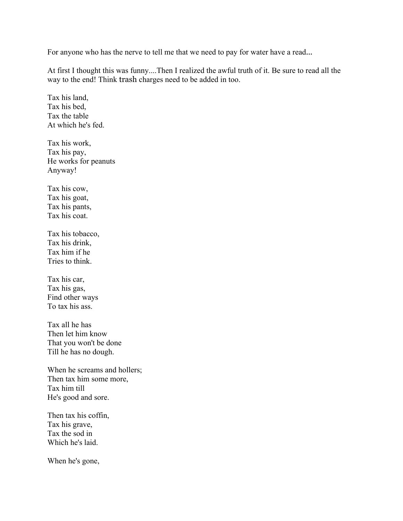For anyone who has the nerve to tell me that we need to pay for water have a read...

At first I thought this was funny....Then I realized the awful truth of it. Be sure to read all the way to the end! Think trash charges need to be added in too.

Tax his land, Tax his bed, Tax the table At which he's fed.

Tax his work, Tax his pay, He works for peanuts Anyway!

Tax his cow, Tax his goat, Tax his pants, Tax his coat.

Tax his tobacco, Tax his drink, Tax him if he Tries to think.

Tax his car, Tax his gas, Find other ways To tax his ass.

Tax all he has Then let him know That you won't be done Till he has no dough.

When he screams and hollers; Then tax him some more, Tax him till He's good and sore.

Then tax his coffin, Tax his grave, Tax the sod in Which he's laid.

When he's gone,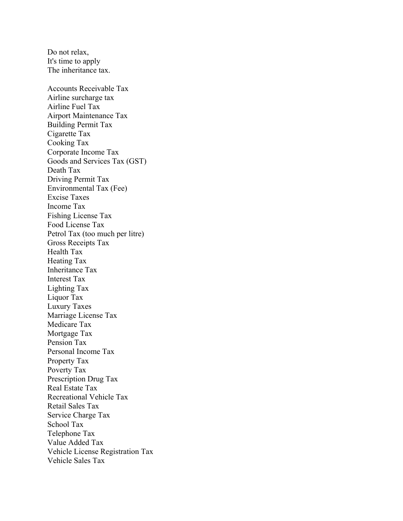Do not relax, It's time to apply The inheritance tax. Accounts Receivable Tax Airline surcharge tax Airline Fuel Tax Airport Maintenance Tax Building Permit Tax Cigarette Tax Cooking Tax Corporate Income Tax Goods and Services Tax (GST) Death Tax Driving Permit Tax Environmental Tax (Fee) Excise Taxes Income Tax Fishing License Tax Food License Tax Petrol Tax (too much per litre) Gross Receipts Tax Health Tax Heating Tax Inheritance Tax Interest Tax Lighting Tax Liquor Tax Luxury Taxes Marriage License Tax Medicare Tax Mortgage Tax Pension Tax Personal Income Tax Property Tax Poverty Tax Prescription Drug Tax Real Estate Tax Recreational Vehicle Tax Retail Sales Tax Service Charge Tax School Tax Telephone Tax Value Added Tax Vehicle License Registration Tax Vehicle Sales Tax